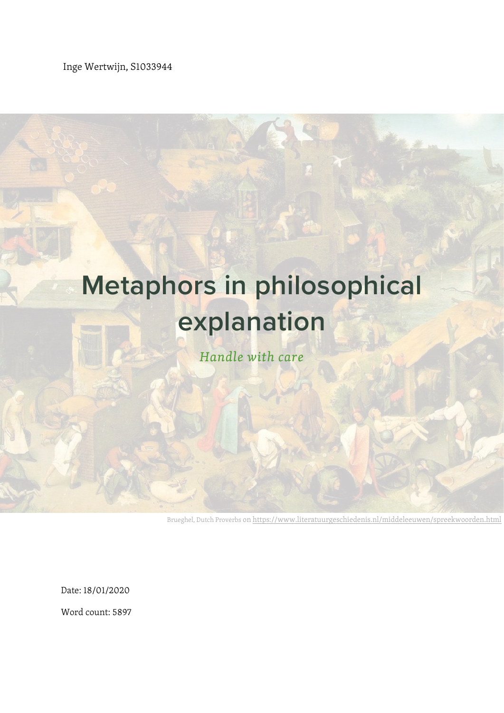Inge Wertwijn, S1033944

## **Metaphors in philosophical explanation** *Handle with care*

Brueghel, Dutch Proverbs o[n https://www.literatuurgeschiedenis.nl/middeleeuwen/spreekwoorden.html](https://www.literatuurgeschiedenis.nl/middeleeuwen/spreekwoorden.html)

Date: 18/01/2020

Word count: 5897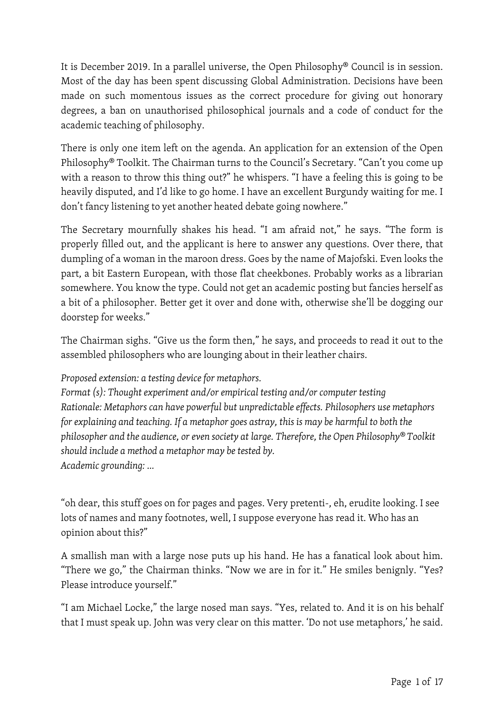It is December 2019. In a parallel universe, the Open Philosophy® Council is in session. Most of the day has been spent discussing Global Administration. Decisions have been made on such momentous issues as the correct procedure for giving out honorary degrees, a ban on unauthorised philosophical journals and a code of conduct for the academic teaching of philosophy.

There is only one item left on the agenda. An application for an extension of the Open Philosophy® Toolkit. The Chairman turns to the Council's Secretary. "Can't you come up with a reason to throw this thing out?" he whispers. "I have a feeling this is going to be heavily disputed, and I'd like to go home. I have an excellent Burgundy waiting for me. I don't fancy listening to yet another heated debate going nowhere."

The Secretary mournfully shakes his head. "I am afraid not," he says. "The form is properly filled out, and the applicant is here to answer any questions. Over there, that dumpling of a woman in the maroon dress. Goes by the name of Majofski. Even looks the part, a bit Eastern European, with those flat cheekbones. Probably works as a librarian somewhere. You know the type. Could not get an academic posting but fancies herself as a bit of a philosopher. Better get it over and done with, otherwise she'll be dogging our doorstep for weeks."

The Chairman sighs. "Give us the form then," he says, and proceeds to read it out to the assembled philosophers who are lounging about in their leather chairs.

*Proposed extension: a testing device for metaphors.*

*Format (s): Thought experiment and/or empirical testing and/or computer testing Rationale: Metaphors can have powerful but unpredictable effects. Philosophers use metaphors for explaining and teaching. If a metaphor goes astray, this is may be harmful to both the philosopher and the audience, or even society at large. Therefore, the Open Philosophy® Toolkit should include a method a metaphor may be tested by. Academic grounding: …*

"oh dear, this stuff goes on for pages and pages. Very pretenti-, eh, erudite looking. I see lots of names and many footnotes, well, I suppose everyone has read it. Who has an opinion about this?"

A smallish man with a large nose puts up his hand. He has a fanatical look about him. "There we go," the Chairman thinks. "Now we are in for it." He smiles benignly. "Yes? Please introduce yourself."

"I am Michael Locke," the large nosed man says. "Yes, related to. And it is on his behalf that I must speak up. John was very clear on this matter. 'Do not use metaphors,' he said.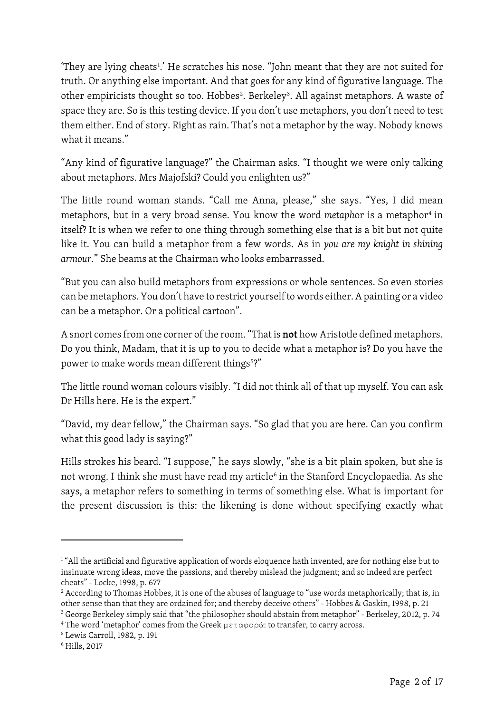'They are lying cheats<sup>[1](#page-2-0)</sup>.' He scratches his nose. "John meant that they are not suited for truth. Or anything else important. And that goes for any kind of figurative language. The other empiricists thought so too. Hobbes<sup>2</sup>. Berkeley<sup>[3](#page-2-2)</sup>. All against metaphors. A waste of space they are. So is this testing device. If you don't use metaphors, you don't need to test them either. End of story. Right as rain. That's not a metaphor by the way. Nobody knows what it means."

"Any kind of figurative language?" the Chairman asks. "I thought we were only talking about metaphors. Mrs Majofski? Could you enlighten us?"

The little round woman stands. "Call me Anna, please," she says. "Yes, I did mean metaphors, but in a very broad sense. You know the word *metaphor* is a metaphor<sup>[4](#page-2-3)</sup> in itself? It is when we refer to one thing through something else that is a bit but not quite like it. You can build a metaphor from a few words. As in *you are my knight in shining armour*." She beams at the Chairman who looks embarrassed.

"But you can also build metaphors from expressions or whole sentences. So even stories can be metaphors. You don't have to restrict yourself to words either. A painting or a video can be a metaphor. Or a political cartoon".

A snort comes from one corner of the room. "That is not how Aristotle defined metaphors. Do you think, Madam, that it is up to you to decide what a metaphor is? Do you have the power to make words mean different things<sup>[5](#page-2-4)</sup>?"

The little round woman colours visibly. "I did not think all of that up myself. You can ask Dr Hills here. He is the expert."

"David, my dear fellow," the Chairman says. "So glad that you are here. Can you confirm what this good lady is saying?"

Hills strokes his beard. "I suppose," he says slowly, "she is a bit plain spoken, but she is not wrong. I think she must have read my article<sup>[6](#page-2-5)</sup> in the Stanford Encyclopaedia. As she says, a metaphor refers to something in terms of something else. What is important for the present discussion is this: the likening is done without specifying exactly what

<span id="page-2-0"></span><sup>&</sup>lt;sup>1</sup> "All the artificial and figurative application of words eloquence hath invented, are for nothing else but to insinuate wrong ideas, move the passions, and thereby mislead the judgment; and so indeed are perfect cheats" - Locke, 1998, p. 677

<span id="page-2-1"></span><sup>&</sup>lt;sup>2</sup> According to Thomas Hobbes, it is one of the abuses of language to "use words metaphorically; that is, in other sense than that they are ordained for; and thereby deceive others" - Hobbes & Gaskin, 1998, p. 21 <sup>3</sup> George Berkeley simply said that "the philosopher should abstain from metaphor" - Berkeley, 2012, p. 74

<span id="page-2-3"></span><span id="page-2-2"></span><sup>&</sup>lt;sup>4</sup> The word 'metaphor' comes from the Greek  $\mu \epsilon \tau \alpha \varphi \circ \rho \alpha$ : to transfer, to carry across.

<span id="page-2-4"></span><sup>5</sup> Lewis Carroll, 1982, p. 191

<span id="page-2-5"></span><sup>6</sup> Hills, 2017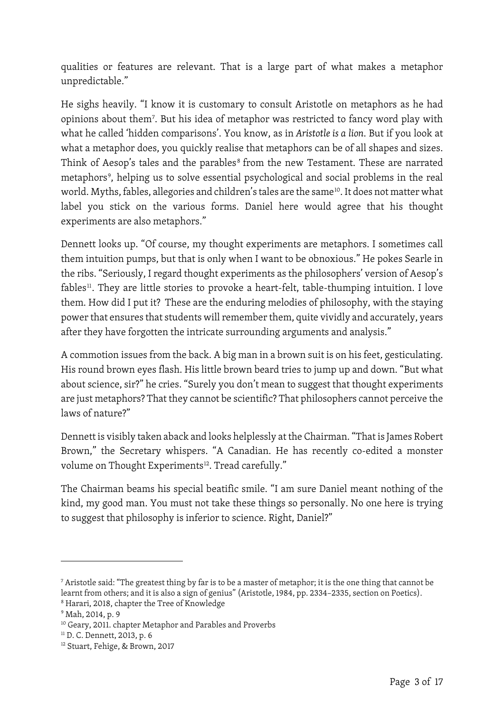qualities or features are relevant. That is a large part of what makes a metaphor unpredictable."

He sighs heavily. "I know it is customary to consult Aristotle on metaphors as he had opinions about them[7](#page-3-0) . But his idea of metaphor was restricted to fancy word play with what he called 'hidden comparisons'. You know, as in *Aristotle is a lion*. But if you look at what a metaphor does, you quickly realise that metaphors can be of all shapes and sizes. Think of Aesop's tales and the parables<sup>[8](#page-3-1)</sup> from the new Testament. These are narrated metaphors<sup>[9](#page-3-2)</sup>, helping us to solve essential psychological and social problems in the real world. Myths, fables, allegories and children's tales are the same<sup>[10](#page-3-3)</sup>. It does not matter what label you stick on the various forms. Daniel here would agree that his thought experiments are also metaphors."

Dennett looks up. "Of course, my thought experiments are metaphors. I sometimes call them intuition pumps, but that is only when I want to be obnoxious." He pokes Searle in the ribs. "Seriously, I regard thought experiments as the philosophers' version of Aesop's fables<sup>[11](#page-3-4)</sup>. They are little stories to provoke a heart-felt, table-thumping intuition. I love them. How did I put it? These are the enduring melodies of philosophy, with the staying power that ensures that students will remember them, quite vividly and accurately, years after they have forgotten the intricate surrounding arguments and analysis."

A commotion issues from the back. A big man in a brown suit is on his feet, gesticulating. His round brown eyes flash. His little brown beard tries to jump up and down. "But what about science, sir?" he cries. "Surely you don't mean to suggest that thought experiments are just metaphors? That they cannot be scientific? That philosophers cannot perceive the laws of nature?"

Dennett is visibly taken aback and looks helplessly at the Chairman. "That is James Robert Brown," the Secretary whispers. "A Canadian. He has recently co-edited a monster volume on Thought Experiments<sup>[12](#page-3-5)</sup>. Tread carefully."

The Chairman beams his special beatific smile. "I am sure Daniel meant nothing of the kind, my good man. You must not take these things so personally. No one here is trying to suggest that philosophy is inferior to science. Right, Daniel?"

<span id="page-3-0"></span><sup>7</sup> Aristotle said: "The greatest thing by far is to be a master of metaphor; it is the one thing that cannot be learnt from others; and it is also a sign of genius" (Aristotle, 1984, pp. 2334–2335, section on Poetics). <sup>8</sup> Harari, 2018, chapter the Tree of Knowledge

<span id="page-3-2"></span><span id="page-3-1"></span><sup>9</sup> Mah, 2014, p. 9

<span id="page-3-3"></span><sup>&</sup>lt;sup>10</sup> Geary, 2011. chapter Metaphor and Parables and Proverbs

<span id="page-3-4"></span><sup>&</sup>lt;sup>11</sup> D. C. Dennett, 2013, p. 6

<span id="page-3-5"></span><sup>12</sup> Stuart, Fehige, & Brown, 2017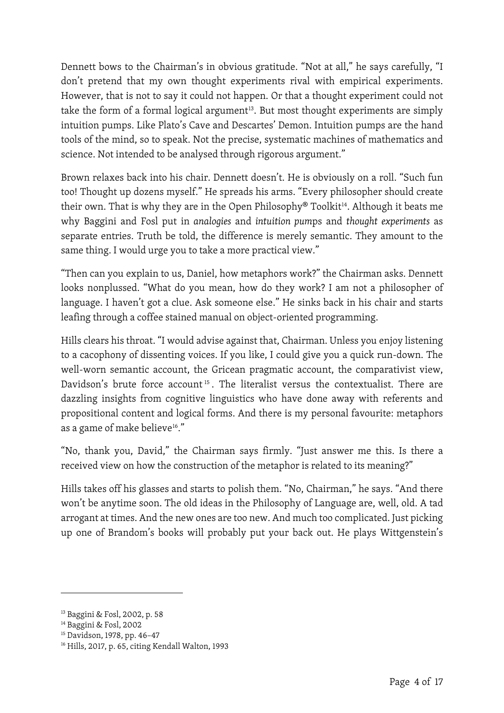Dennett bows to the Chairman's in obvious gratitude. "Not at all," he says carefully, "I don't pretend that my own thought experiments rival with empirical experiments. However, that is not to say it could not happen. Or that a thought experiment could not take the form of a formal logical argument<sup>13</sup>. But most thought experiments are simply intuition pumps. Like Plato's Cave and Descartes' Demon. Intuition pumps are the hand tools of the mind, so to speak. Not the precise, systematic machines of mathematics and science. Not intended to be analysed through rigorous argument."

Brown relaxes back into his chair. Dennett doesn't. He is obviously on a roll. "Such fun too! Thought up dozens myself." He spreads his arms. "Every philosopher should create their own. That is why they are in the Open Philosophy® Toolkit<sup>[14](#page-4-1)</sup>. Although it beats me why Baggini and Fosl put in *analogies* and *intuition pum*ps and *thought experiments* as separate entries. Truth be told, the difference is merely semantic. They amount to the same thing. I would urge you to take a more practical view."

"Then can you explain to us, Daniel, how metaphors work?" the Chairman asks. Dennett looks nonplussed. "What do you mean, how do they work? I am not a philosopher of language. I haven't got a clue. Ask someone else." He sinks back in his chair and starts leafing through a coffee stained manual on object-oriented programming.

Hills clears his throat. "I would advise against that, Chairman. Unless you enjoy listening to a cacophony of dissenting voices. If you like, I could give you a quick run-down. The well-worn semantic account, the Gricean pragmatic account, the comparativist view, Davidson's brute force account<sup>[15](#page-4-2)</sup>. The literalist versus the contextualist. There are dazzling insights from cognitive linguistics who have done away with referents and propositional content and logical forms. And there is my personal favourite: metaphors as a game of make believe<sup>[16](#page-4-3)</sup>."

"No, thank you, David," the Chairman says firmly. "Just answer me this. Is there a received view on how the construction of the metaphor is related to its meaning?"

Hills takes off his glasses and starts to polish them. "No, Chairman," he says. "And there won't be anytime soon. The old ideas in the Philosophy of Language are, well, old. A tad arrogant at times. And the new ones are too new. And much too complicated. Just picking up one of Brandom's books will probably put your back out. He plays Wittgenstein's

<span id="page-4-0"></span><sup>13</sup> Baggini & Fosl, 2002, p. 58

<span id="page-4-1"></span><sup>14</sup> Baggini & Fosl, 2002

<span id="page-4-2"></span><sup>15</sup> Davidson, 1978, pp. 46–47

<span id="page-4-3"></span><sup>16</sup> Hills, 2017, p. 65, citing Kendall Walton, 1993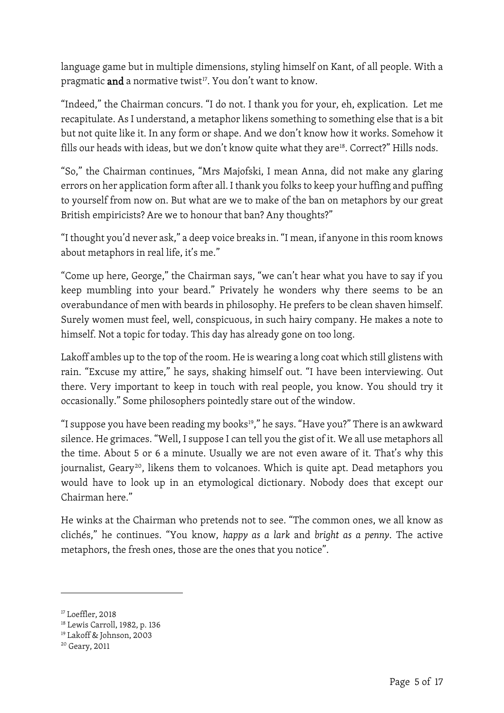language game but in multiple dimensions, styling himself on Kant, of all people. With a pragmatic and a normative twist<sup>17</sup>. You don't want to know.

"Indeed," the Chairman concurs. "I do not. I thank you for your, eh, explication. Let me recapitulate. As I understand, a metaphor likens something to something else that is a bit but not quite like it. In any form or shape. And we don't know how it works. Somehow it fills our heads with ideas, but we don't know quite what they are<sup>18</sup>. Correct?" Hills nods.

"So," the Chairman continues, "Mrs Majofski, I mean Anna, did not make any glaring errors on her application form after all. I thank you folks to keep your huffing and puffing to yourself from now on. But what are we to make of the ban on metaphors by our great British empiricists? Are we to honour that ban? Any thoughts?"

"I thought you'd never ask," a deep voice breaks in. "I mean, if anyone in this room knows about metaphors in real life, it's me."

"Come up here, George," the Chairman says, "we can't hear what you have to say if you keep mumbling into your beard." Privately he wonders why there seems to be an overabundance of men with beards in philosophy. He prefers to be clean shaven himself. Surely women must feel, well, conspicuous, in such hairy company. He makes a note to himself. Not a topic for today. This day has already gone on too long.

Lakoff ambles up to the top of the room. He is wearing a long coat which still glistens with rain. "Excuse my attire," he says, shaking himself out. "I have been interviewing. Out there. Very important to keep in touch with real people, you know. You should try it occasionally." Some philosophers pointedly stare out of the window.

"I suppose you have been reading my books $19$ ," he says. "Have you?" There is an awkward silence. He grimaces. "Well, I suppose I can tell you the gist of it. We all use metaphors all the time. About 5 or 6 a minute. Usually we are not even aware of it. That's why this journalist, Geary<sup>[20](#page-5-3)</sup>, likens them to volcanoes. Which is quite apt. Dead metaphors you would have to look up in an etymological dictionary. Nobody does that except our Chairman here."

He winks at the Chairman who pretends not to see. "The common ones, we all know as clichés," he continues. "You know, *happy as a lark* and *bright as a penny*. The active metaphors, the fresh ones, those are the ones that you notice".

<span id="page-5-0"></span><sup>&</sup>lt;sup>17</sup> Loeffler, 2018

<span id="page-5-1"></span><sup>18</sup> Lewis Carroll, 1982, p. 136

<span id="page-5-2"></span><sup>19</sup> Lakoff & Johnson, 2003

<span id="page-5-3"></span><sup>20</sup> Geary, 2011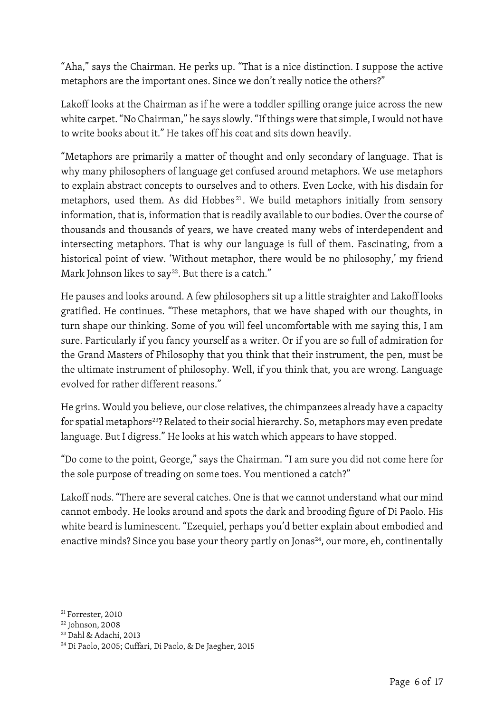"Aha," says the Chairman. He perks up. "That is a nice distinction. I suppose the active metaphors are the important ones. Since we don't really notice the others?"

Lakoff looks at the Chairman as if he were a toddler spilling orange juice across the new white carpet. "No Chairman," he says slowly. "If things were that simple, I would not have to write books about it." He takes off his coat and sits down heavily.

"Metaphors are primarily a matter of thought and only secondary of language. That is why many philosophers of language get confused around metaphors. We use metaphors to explain abstract concepts to ourselves and to others. Even Locke, with his disdain for metaphors, used them. As did Hobbes<sup>[21](#page-6-0)</sup>. We build metaphors initially from sensory information, that is, information that is readily available to our bodies. Over the course of thousands and thousands of years, we have created many webs of interdependent and intersecting metaphors. That is why our language is full of them. Fascinating, from a historical point of view. 'Without metaphor, there would be no philosophy,' my friend Mark Johnson likes to say<sup>[22](#page-6-1)</sup>. But there is a catch."

He pauses and looks around. A few philosophers sit up a little straighter and Lakoff looks gratified. He continues. "These metaphors, that we have shaped with our thoughts, in turn shape our thinking. Some of you will feel uncomfortable with me saying this, I am sure. Particularly if you fancy yourself as a writer. Or if you are so full of admiration for the Grand Masters of Philosophy that you think that their instrument, the pen, must be the ultimate instrument of philosophy. Well, if you think that, you are wrong. Language evolved for rather different reasons."

He grins. Would you believe, our close relatives, the chimpanzees already have a capacity for spatial metaphors<sup>[23](#page-6-2)</sup>? Related to their social hierarchy. So, metaphors may even predate language. But I digress." He looks at his watch which appears to have stopped.

"Do come to the point, George," says the Chairman. "I am sure you did not come here for the sole purpose of treading on some toes. You mentioned a catch?"

Lakoff nods. "There are several catches. One is that we cannot understand what our mind cannot embody. He looks around and spots the dark and brooding figure of Di Paolo. His white beard is luminescent. "Ezequiel, perhaps you'd better explain about embodied and enactive minds? Since you base your theory partly on Jonas<sup>24</sup>, our more, eh, continentally

<span id="page-6-0"></span><sup>&</sup>lt;sup>21</sup> Forrester, 2010

<span id="page-6-1"></span><sup>22</sup> Johnson, 2008

<span id="page-6-2"></span><sup>23</sup> Dahl & Adachi, 2013

<span id="page-6-3"></span><sup>24</sup> Di Paolo, 2005; Cuffari, Di Paolo, & De Jaegher, 2015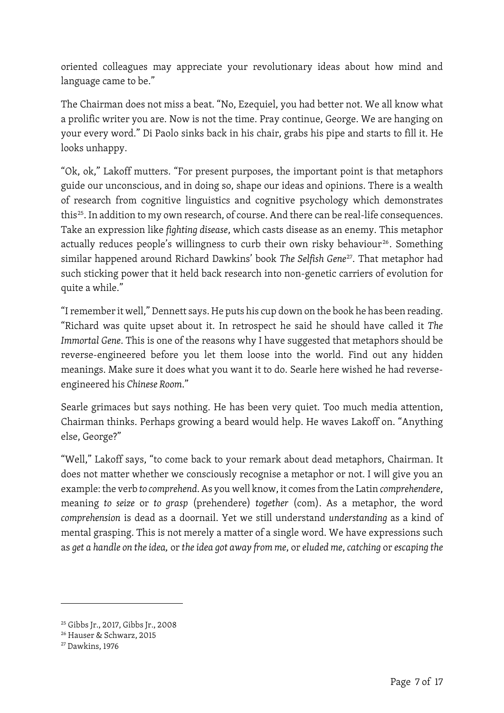oriented colleagues may appreciate your revolutionary ideas about how mind and language came to be."

The Chairman does not miss a beat. "No, Ezequiel, you had better not. We all know what a prolific writer you are. Now is not the time. Pray continue, George. We are hanging on your every word." Di Paolo sinks back in his chair, grabs his pipe and starts to fill it. He looks unhappy.

"Ok, ok," Lakoff mutters. "For present purposes, the important point is that metaphors guide our unconscious, and in doing so, shape our ideas and opinions. There is a wealth of research from cognitive linguistics and cognitive psychology which demonstrates this<sup>[25](#page-7-0)</sup>. In addition to my own research, of course. And there can be real-life consequences. Take an expression like *fighting disease*, which casts disease as an enemy. This metaphor actually reduces people's willingness to curb their own risky behaviour<sup>[26](#page-7-1)</sup>. Something similar happened around Richard Dawkins' book *The Selfish Gene*[27](#page-7-2). That metaphor had such sticking power that it held back research into non-genetic carriers of evolution for quite a while."

"I remember it well," Dennett says. He puts his cup down on the book he has been reading. "Richard was quite upset about it. In retrospect he said he should have called it *The Immortal Gene*. This is one of the reasons why I have suggested that metaphors should be reverse-engineered before you let them loose into the world. Find out any hidden meanings. Make sure it does what you want it to do. Searle here wished he had reverseengineered his *Chinese Room*."

Searle grimaces but says nothing. He has been very quiet. Too much media attention, Chairman thinks. Perhaps growing a beard would help. He waves Lakoff on. "Anything else, George?"

"Well," Lakoff says, "to come back to your remark about dead metaphors, Chairman. It does not matter whether we consciously recognise a metaphor or not. I will give you an example: the verb *to comprehend*. As you well know, it comes from the Latin *comprehendere*, meaning *to seize* or *to grasp* (prehendere) *together* (com). As a metaphor, the word *comprehension* is dead as a doornail. Yet we still understand *understanding* as a kind of mental grasping. This is not merely a matter of a single word. We have expressions such as *get a handle on the idea,* or *the idea got away from me*, or *eluded me*, *catching* or *escaping the* 

<span id="page-7-0"></span><sup>25</sup> Gibbs Jr., 2017, Gibbs Jr., 2008

<span id="page-7-1"></span><sup>26</sup> Hauser & Schwarz, 2015

<span id="page-7-2"></span><sup>27</sup> Dawkins, 1976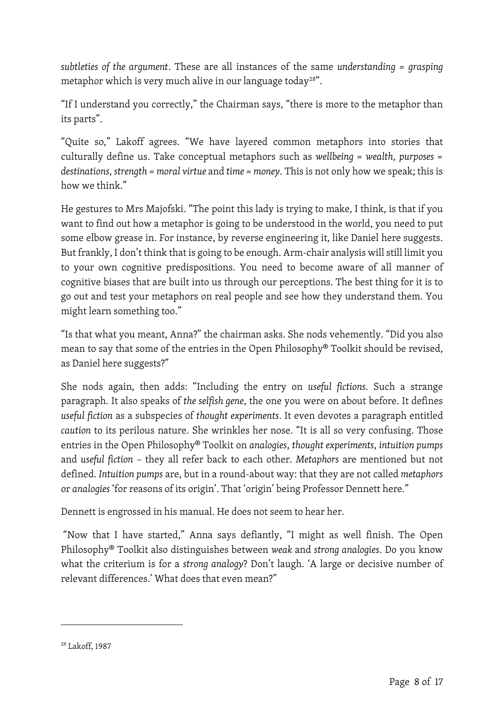*subtleties of the argument*. These are all instances of the same *understanding = grasping* metaphor which is very much alive in our language today<sup>[28"](#page-8-0)</sup>.

"If I understand you correctly," the Chairman says, "there is more to the metaphor than its parts".

"Quite so," Lakoff agrees. "We have layered common metaphors into stories that culturally define us. Take conceptual metaphors such as *wellbeing = wealth*, *purposes = destinations*, *strength = moral virtue* and *time = money*. This is not only how we speak; this is how we think."

He gestures to Mrs Majofski. "The point this lady is trying to make, I think, is that if you want to find out how a metaphor is going to be understood in the world, you need to put some elbow grease in. For instance, by reverse engineering it, like Daniel here suggests. But frankly, I don't think that is going to be enough. Arm-chair analysis will still limit you to your own cognitive predispositions. You need to become aware of all manner of cognitive biases that are built into us through our perceptions. The best thing for it is to go out and test your metaphors on real people and see how they understand them. You might learn something too."

"Is that what you meant, Anna?" the chairman asks. She nods vehemently. "Did you also mean to say that some of the entries in the Open Philosophy® Toolkit should be revised, as Daniel here suggests?"

She nods again, then adds: "Including the entry on *useful fictions*. Such a strange paragraph. It also speaks of *the selfish gene*, the one you were on about before. It defines *useful fiction* as a subspecies of *thought experiments*. It even devotes a paragraph entitled *caution* to its perilous nature. She wrinkles her nose. "It is all so very confusing. Those entries in the Open Philosophy® Toolkit on *analogies*, *thought experiments*, *intuition pumps* and *useful fiction* – they all refer back to each other. *Metaphors* are mentioned but not defined. *Intuition pumps* are, but in a round-about way: that they are not called *metaphors* or *analogies* 'for reasons of its origin'. That 'origin' being Professor Dennett here."

Dennett is engrossed in his manual. He does not seem to hear her.

"Now that I have started," Anna says defiantly, "I might as well finish. The Open Philosophy® Toolkit also distinguishes between *weak* and *strong analogies*. Do you know what the criterium is for a *strong analogy*? Don't laugh. 'A large or decisive number of relevant differences.' What does that even mean?"

<span id="page-8-0"></span><sup>28</sup> Lakoff, 1987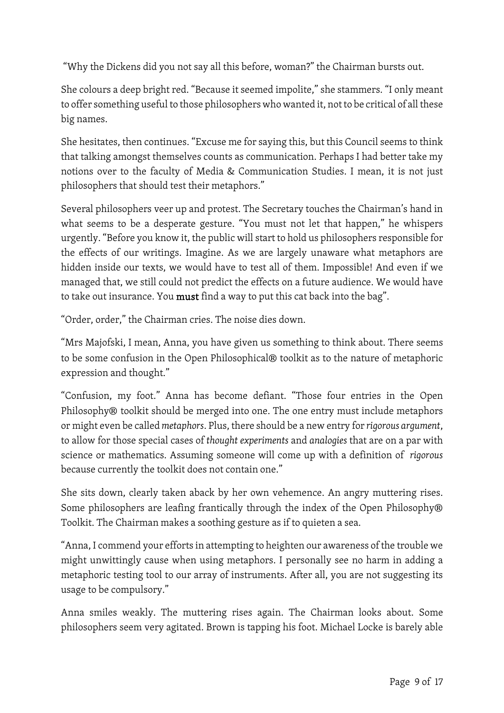"Why the Dickens did you not say all this before, woman?" the Chairman bursts out.

She colours a deep bright red. "Because it seemed impolite," she stammers. "I only meant to offer something useful to those philosophers who wanted it, not to be critical of all these big names.

She hesitates, then continues. "Excuse me for saying this, but this Council seems to think that talking amongst themselves counts as communication. Perhaps I had better take my notions over to the faculty of Media & Communication Studies. I mean, it is not just philosophers that should test their metaphors."

Several philosophers veer up and protest. The Secretary touches the Chairman's hand in what seems to be a desperate gesture. "You must not let that happen," he whispers urgently. "Before you know it, the public will start to hold us philosophers responsible for the effects of our writings. Imagine. As we are largely unaware what metaphors are hidden inside our texts, we would have to test all of them. Impossible! And even if we managed that, we still could not predict the effects on a future audience. We would have to take out insurance. You must find a way to put this cat back into the bag".

"Order, order," the Chairman cries. The noise dies down.

"Mrs Majofski, I mean, Anna, you have given us something to think about. There seems to be some confusion in the Open Philosophical® toolkit as to the nature of metaphoric expression and thought."

"Confusion, my foot." Anna has become defiant. "Those four entries in the Open Philosophy® toolkit should be merged into one. The one entry must include metaphors or might even be called *metaphors*. Plus, there should be a new entry for *rigorous argument*, to allow for those special cases of *thought experiments* and *analogies* that are on a par with science or mathematics. Assuming someone will come up with a definition of *rigorous* because currently the toolkit does not contain one."

She sits down, clearly taken aback by her own vehemence. An angry muttering rises. Some philosophers are leafing frantically through the index of the Open Philosophy® Toolkit. The Chairman makes a soothing gesture as if to quieten a sea.

"Anna, I commend your efforts in attempting to heighten our awareness of the trouble we might unwittingly cause when using metaphors. I personally see no harm in adding a metaphoric testing tool to our array of instruments. After all, you are not suggesting its usage to be compulsory."

Anna smiles weakly. The muttering rises again. The Chairman looks about. Some philosophers seem very agitated. Brown is tapping his foot. Michael Locke is barely able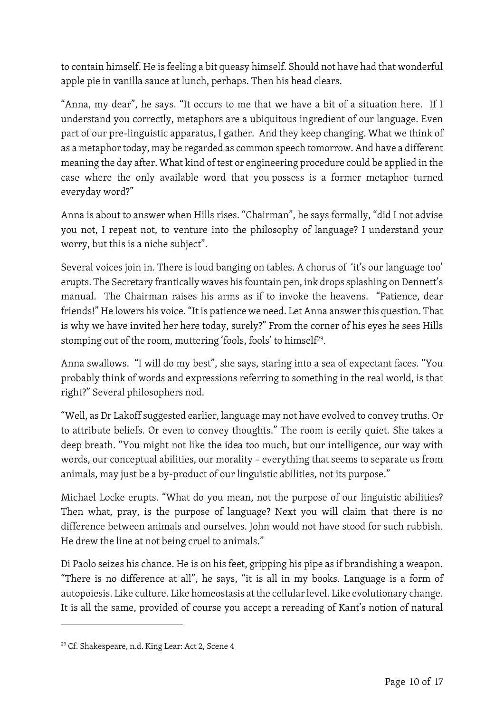to contain himself. He is feeling a bit queasy himself. Should not have had that wonderful apple pie in vanilla sauce at lunch, perhaps. Then his head clears.

"Anna, my dear", he says. "It occurs to me that we have a bit of a situation here. If I understand you correctly, metaphors are a ubiquitous ingredient of our language. Even part of our pre-linguistic apparatus, I gather. And they keep changing. What we think of as a metaphor today, may be regarded as common speech tomorrow. And have a different meaning the day after. What kind of test or engineering procedure could be applied in the case where the only available word that you possess is a former metaphor turned everyday word?"

Anna is about to answer when Hills rises. "Chairman", he says formally, "did I not advise you not, I repeat not, to venture into the philosophy of language? I understand your worry, but this is a niche subject".

Several voices join in. There is loud banging on tables. A chorus of 'it's our language too' erupts. The Secretary frantically waves his fountain pen, ink drops splashing on Dennett's manual. The Chairman raises his arms as if to invoke the heavens. "Patience, dear friends!" He lowers his voice. "It is patience we need. Let Anna answer this question. That is why we have invited her here today, surely?" From the corner of his eyes he sees Hills stomping out of the room, muttering 'fools, fools' to himself<sup>[29](#page-10-0)</sup>.

Anna swallows. "I will do my best", she says, staring into a sea of expectant faces. "You probably think of words and expressions referring to something in the real world, is that right?" Several philosophers nod.

"Well, as Dr Lakoff suggested earlier, language may not have evolved to convey truths. Or to attribute beliefs. Or even to convey thoughts." The room is eerily quiet. She takes a deep breath. "You might not like the idea too much, but our intelligence, our way with words, our conceptual abilities, our morality – everything that seems to separate us from animals, may just be a by-product of our linguistic abilities, not its purpose."

Michael Locke erupts. "What do you mean, not the purpose of our linguistic abilities? Then what, pray, is the purpose of language? Next you will claim that there is no difference between animals and ourselves. John would not have stood for such rubbish. He drew the line at not being cruel to animals."

Di Paolo seizes his chance. He is on his feet, gripping his pipe as if brandishing a weapon. "There is no difference at all", he says, "it is all in my books. Language is a form of autopoiesis. Like culture. Like homeostasis at the cellular level. Like evolutionary change. It is all the same, provided of course you accept a rereading of Kant's notion of natural

<span id="page-10-0"></span><sup>29</sup> Cf. Shakespeare, n.d. King Lear: Act 2, Scene 4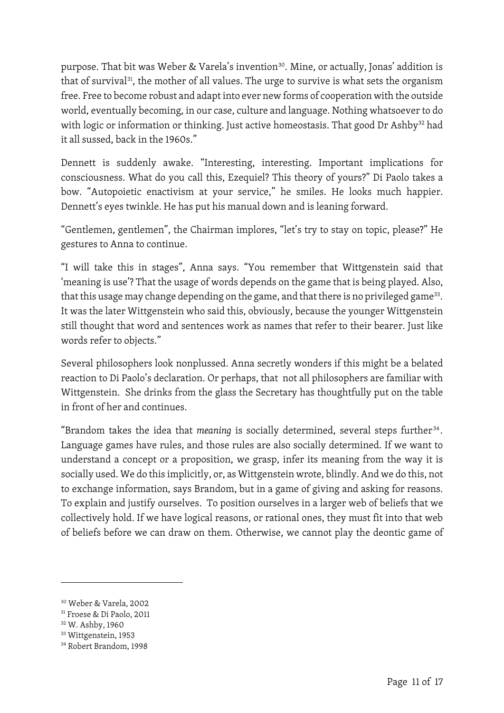purpose. That bit was Weber & Varela's invention<sup>30</sup>. Mine, or actually, Jonas' addition is that of survival $31$ , the mother of all values. The urge to survive is what sets the organism free. Free to become robust and adapt into ever new forms of cooperation with the outside world, eventually becoming, in our case, culture and language. Nothing whatsoever to do with logic or information or thinking. Just active homeostasis. That good Dr Ashby<sup>[32](#page-11-2)</sup> had it all sussed, back in the 1960s."

Dennett is suddenly awake. "Interesting, interesting. Important implications for consciousness. What do you call this, Ezequiel? This theory of yours?" Di Paolo takes a bow. "Autopoietic enactivism at your service," he smiles. He looks much happier. Dennett's eyes twinkle. He has put his manual down and is leaning forward.

"Gentlemen, gentlemen", the Chairman implores, "let's try to stay on topic, please?" He gestures to Anna to continue.

"I will take this in stages", Anna says. "You remember that Wittgenstein said that 'meaning is use'? That the usage of words depends on the game that is being played. Also, that this usage may change depending on the game, and that there is no privileged game<sup>[33](#page-11-3)</sup>. It was the later Wittgenstein who said this, obviously, because the younger Wittgenstein still thought that word and sentences work as names that refer to their bearer. Just like words refer to objects."

Several philosophers look nonplussed. Anna secretly wonders if this might be a belated reaction to Di Paolo's declaration. Or perhaps, that not all philosophers are familiar with Wittgenstein. She drinks from the glass the Secretary has thoughtfully put on the table in front of her and continues.

"Brandom takes the idea that *meaning* is socially determined, several steps further<sup>[34](#page-11-4)</sup>. Language games have rules, and those rules are also socially determined. If we want to understand a concept or a proposition, we grasp, infer its meaning from the way it is socially used. We do this implicitly, or, as Wittgenstein wrote, blindly. And we do this, not to exchange information, says Brandom, but in a game of giving and asking for reasons. To explain and justify ourselves. To position ourselves in a larger web of beliefs that we collectively hold. If we have logical reasons, or rational ones, they must fit into that web of beliefs before we can draw on them. Otherwise, we cannot play the deontic game of

<span id="page-11-0"></span><sup>30</sup> Weber & Varela, 2002

<span id="page-11-1"></span><sup>31</sup> Froese & Di Paolo, 2011

<span id="page-11-2"></span><sup>32</sup> W. Ashby, 1960

<span id="page-11-3"></span><sup>33</sup> Wittgenstein, 1953

<span id="page-11-4"></span><sup>34</sup> Robert Brandom, 1998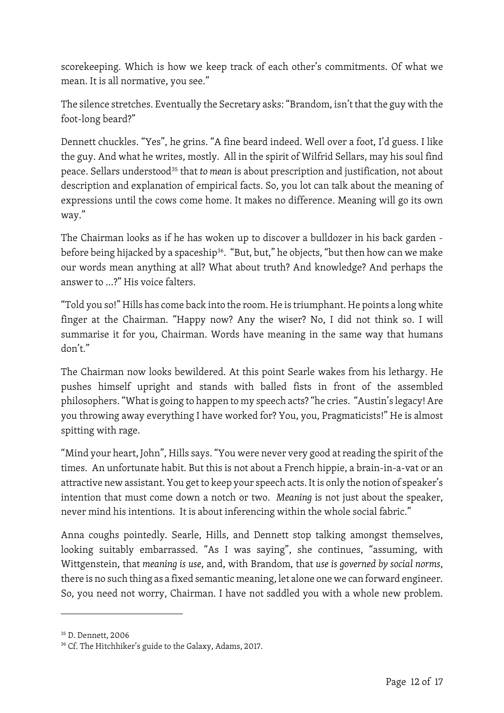scorekeeping. Which is how we keep track of each other's commitments. Of what we mean. It is all normative, you see."

The silence stretches. Eventually the Secretary asks: "Brandom, isn't that the guy with the foot-long beard?"

Dennett chuckles. "Yes", he grins. "A fine beard indeed. Well over a foot, I'd guess. I like the guy. And what he writes, mostly. All in the spirit of Wilfrid Sellars, may his soul find peace. Sellars understood[35](#page-12-0) that *to mean* is about prescription and justification, not about description and explanation of empirical facts. So, you lot can talk about the meaning of expressions until the cows come home. It makes no difference. Meaning will go its own way."

The Chairman looks as if he has woken up to discover a bulldozer in his back garden - before being hijacked by a spaceship<sup>[36](#page-12-1)</sup>. "But, but," he objects, "but then how can we make our words mean anything at all? What about truth? And knowledge? And perhaps the answer to …?" His voice falters.

"Told you so!" Hills has come back into the room. He is triumphant. He points a long white finger at the Chairman. "Happy now? Any the wiser? No, I did not think so. I will summarise it for you, Chairman. Words have meaning in the same way that humans don't."

The Chairman now looks bewildered. At this point Searle wakes from his lethargy. He pushes himself upright and stands with balled fists in front of the assembled philosophers."What is going to happen to my speech acts? "he cries. "Austin's legacy! Are you throwing away everything I have worked for? You, you, Pragmaticists!" He is almost spitting with rage.

"Mind your heart, John", Hills says. "You were never very good at reading the spirit of the times. An unfortunate habit. But this is not about a French hippie, a brain-in-a-vat or an attractive new assistant. You get to keep your speech acts. It is only the notion of speaker's intention that must come down a notch or two. *Meaning* is not just about the speaker, never mind his intentions. It is about inferencing within the whole social fabric."

Anna coughs pointedly. Searle, Hills, and Dennett stop talking amongst themselves, looking suitably embarrassed. "As I was saying", she continues, "assuming, with Wittgenstein, that *meaning is use*, and, with Brandom, that *use is governed by social norms*, there is no such thing as a fixed semantic meaning, let alone one we can forward engineer. So, you need not worry, Chairman. I have not saddled you with a whole new problem.

<span id="page-12-0"></span><sup>35</sup> D. Dennett, 2006

<span id="page-12-1"></span><sup>&</sup>lt;sup>36</sup> Cf. The Hitchhiker's guide to the Galaxy, Adams, 2017.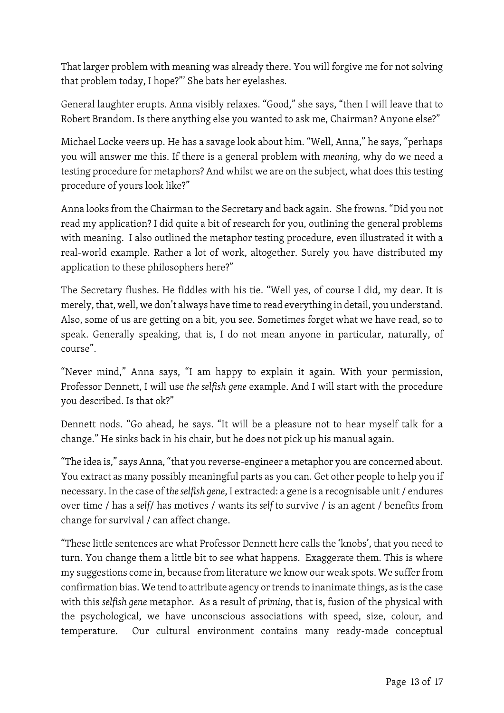That larger problem with meaning was already there. You will forgive me for not solving that problem today, I hope?"' She bats her eyelashes.

General laughter erupts. Anna visibly relaxes. "Good," she says, "then I will leave that to Robert Brandom. Is there anything else you wanted to ask me, Chairman? Anyone else?"

Michael Locke veers up. He has a savage look about him. "Well, Anna," he says, "perhaps you will answer me this. If there is a general problem with *meaning*, why do we need a testing procedure for metaphors? And whilst we are on the subject, what does this testing procedure of yours look like?"

Anna looks from the Chairman to the Secretary and back again. She frowns. "Did you not read my application? I did quite a bit of research for you, outlining the general problems with meaning. I also outlined the metaphor testing procedure, even illustrated it with a real-world example. Rather a lot of work, altogether. Surely you have distributed my application to these philosophers here?"

The Secretary flushes. He fiddles with his tie. "Well yes, of course I did, my dear. It is merely, that, well, we don't always have time to read everything in detail, you understand. Also, some of us are getting on a bit, you see. Sometimes forget what we have read, so to speak. Generally speaking, that is, I do not mean anyone in particular, naturally, of course".

"Never mind," Anna says, "I am happy to explain it again. With your permission, Professor Dennett, I will use *the selfish gene* example. And I will start with the procedure you described. Is that ok?"

Dennett nods. "Go ahead, he says. "It will be a pleasure not to hear myself talk for a change." He sinks back in his chair, but he does not pick up his manual again.

"The idea is," says Anna, "that you reverse-engineer a metaphor you are concerned about. You extract as many possibly meaningful parts as you can. Get other people to help you if necessary. In the case of *the selfish gene*, I extracted: a gene is a recognisable unit / endures over time / has a *self*/ has motives / wants its *self* to survive / is an agent / benefits from change for survival / can affect change.

"These little sentences are what Professor Dennett here calls the 'knobs', that you need to turn. You change them a little bit to see what happens. Exaggerate them. This is where my suggestions come in, because from literature we know our weak spots. We suffer from confirmation bias. We tend to attribute agency or trends to inanimate things, as is the case with this *selfish gene* metaphor. As a result of *priming*, that is, fusion of the physical with the psychological, we have unconscious associations with speed, size, colour, and temperature. Our cultural environment contains many ready-made conceptual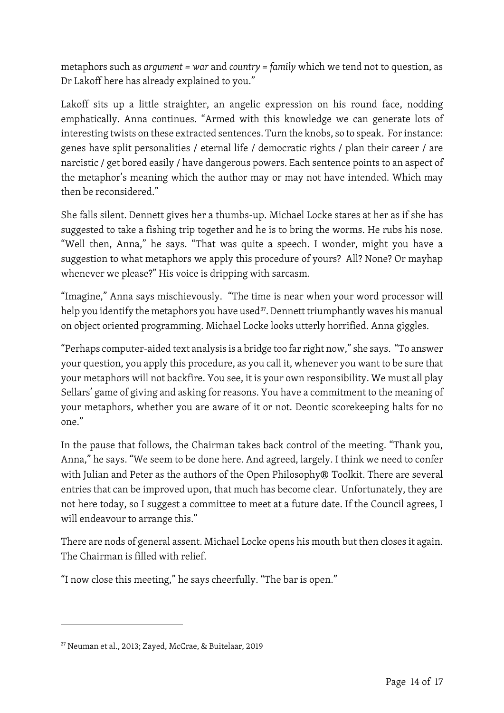metaphors such as *argument = war* and *country = family* which we tend not to question, as Dr Lakoff here has already explained to you."

Lakoff sits up a little straighter, an angelic expression on his round face, nodding emphatically. Anna continues. "Armed with this knowledge we can generate lots of interesting twists on these extracted sentences. Turn the knobs, so to speak. For instance: genes have split personalities / eternal life / democratic rights / plan their career / are narcistic / get bored easily / have dangerous powers. Each sentence points to an aspect of the metaphor's meaning which the author may or may not have intended. Which may then be reconsidered."

She falls silent. Dennett gives her a thumbs-up. Michael Locke stares at her as if she has suggested to take a fishing trip together and he is to bring the worms. He rubs his nose. "Well then, Anna," he says. "That was quite a speech. I wonder, might you have a suggestion to what metaphors we apply this procedure of yours? All? None? Or mayhap whenever we please?" His voice is dripping with sarcasm.

"Imagine," Anna says mischievously. "The time is near when your word processor will help you identify the metaphors you have used<sup>[37](#page-14-0)</sup>. Dennett triumphantly waves his manual on object oriented programming. Michael Locke looks utterly horrified. Anna giggles.

"Perhaps computer-aided text analysis is a bridge too far right now," she says. "To answer your question, you apply this procedure, as you call it, whenever you want to be sure that your metaphors will not backfire. You see, it is your own responsibility. We must all play Sellars' game of giving and asking for reasons. You have a commitment to the meaning of your metaphors, whether you are aware of it or not. Deontic scorekeeping halts for no one."

In the pause that follows, the Chairman takes back control of the meeting. "Thank you, Anna," he says. "We seem to be done here. And agreed, largely. I think we need to confer with Julian and Peter as the authors of the Open Philosophy® Toolkit. There are several entries that can be improved upon, that much has become clear. Unfortunately, they are not here today, so I suggest a committee to meet at a future date. If the Council agrees, I will endeavour to arrange this."

There are nods of general assent. Michael Locke opens his mouth but then closes it again. The Chairman is filled with relief.

"I now close this meeting," he says cheerfully. "The bar is open."

<span id="page-14-0"></span><sup>37</sup> Neuman et al., 2013; Zayed, McCrae, & Buitelaar, 2019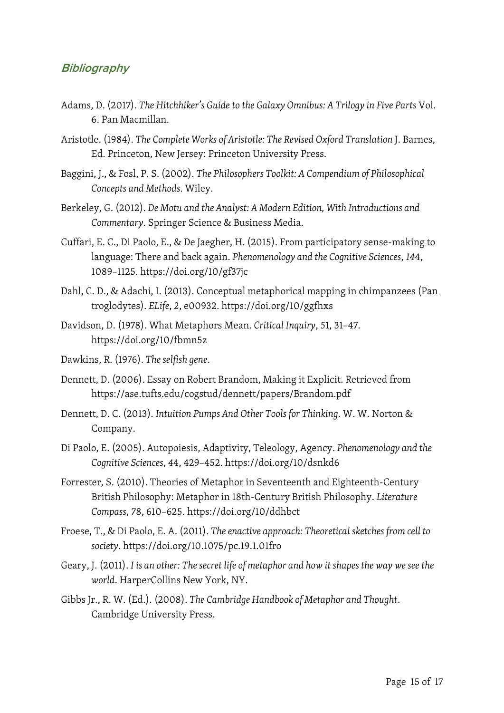## **Bibliography**

- Adams, D. (2017). *The Hitchhiker's Guide to the Galaxy Omnibus: A Trilogy in Five Parts* Vol. 6. Pan Macmillan.
- Aristotle. (1984). *The Complete Works of Aristotle: The Revised Oxford Translation* J. Barnes, Ed. Princeton, New Jersey: Princeton University Press.
- Baggini, J., & Fosl, P. S. (2002). *The Philosophers Toolkit: A Compendium of Philosophical Concepts and Methods*. Wiley.
- Berkeley, G. (2012). *De Motu and the Analyst: A Modern Edition, With Introductions and Commentary*. Springer Science & Business Media.
- Cuffari, E. C., Di Paolo, E., & De Jaegher, H. (2015). From participatory sense-making to language: There and back again. *Phenomenology and the Cognitive Sciences*, *14*4, 1089–1125. https://doi.org/10/gf37jc
- Dahl, C. D., & Adachi, I. (2013). Conceptual metaphorical mapping in chimpanzees (Pan troglodytes). *ELife*, *2*, e00932. https://doi.org/10/ggfhxs
- Davidson, D. (1978). What Metaphors Mean. *Critical Inquiry*, *5*1, 31–47. https://doi.org/10/fbmn5z
- Dawkins, R. (1976). *The selfish gene*.
- Dennett, D. (2006). Essay on Robert Brandom, Making it Explicit. Retrieved from https://ase.tufts.edu/cogstud/dennett/papers/Brandom.pdf
- Dennett, D. C. (2013). *Intuition Pumps And Other Tools for Thinking*. W. W. Norton & Company.
- Di Paolo, E. (2005). Autopoiesis, Adaptivity, Teleology, Agency. *Phenomenology and the Cognitive Sciences*, *4*4, 429–452. https://doi.org/10/dsnkd6
- Forrester, S. (2010). Theories of Metaphor in Seventeenth and Eighteenth-Century British Philosophy: Metaphor in 18th-Century British Philosophy. *Literature Compass*, *7*8, 610–625. https://doi.org/10/ddhbct
- Froese, T., & Di Paolo, E. A. (2011). *The enactive approach: Theoretical sketches from cell to society*. https://doi.org/10.1075/pc.19.1.01fro
- Geary, J. (2011). *I is an other: The secret life of metaphor and how it shapes the way we see the world*. HarperCollins New York, NY.
- Gibbs Jr., R. W. (Ed.). (2008). *The Cambridge Handbook of Metaphor and Thought*. Cambridge University Press.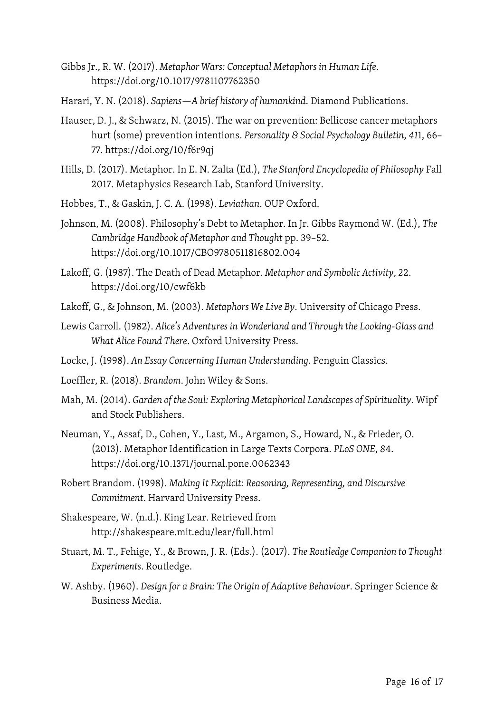- Gibbs Jr., R. W. (2017). *Metaphor Wars: Conceptual Metaphors in Human Life*. https://doi.org/10.1017/9781107762350
- Harari, Y. N. (2018). *Sapiens—A brief history of humankind*. Diamond Publications.
- Hauser, D. J., & Schwarz, N. (2015). The war on prevention: Bellicose cancer metaphors hurt (some) prevention intentions. *Personality & Social Psychology Bulletin*, *41*1, 66– 77. https://doi.org/10/f6r9qj
- Hills, D. (2017). Metaphor. In E. N. Zalta (Ed.), *The Stanford Encyclopedia of Philosophy* Fall 2017. Metaphysics Research Lab, Stanford University.
- Hobbes, T., & Gaskin, J. C. A. (1998). *Leviathan*. OUP Oxford.
- Johnson, M. (2008). Philosophy's Debt to Metaphor. In Jr. Gibbs Raymond W. (Ed.), *The Cambridge Handbook of Metaphor and Thought* pp. 39–52. https://doi.org/10.1017/CBO9780511816802.004
- Lakoff, G. (1987). The Death of Dead Metaphor. *Metaphor and Symbolic Activity*, *2*2. https://doi.org/10/cwf6kb
- Lakoff, G., & Johnson, M. (2003). *Metaphors We Live By*. University of Chicago Press.
- Lewis Carroll. (1982). *Alice's Adventures in Wonderland and Through the Looking-Glass and What Alice Found There*. Oxford University Press.
- Locke, J. (1998). *An Essay Concerning Human Understanding*. Penguin Classics.
- Loeffler, R. (2018). *Brandom*. John Wiley & Sons.
- Mah, M. (2014). *Garden of the Soul: Exploring Metaphorical Landscapes of Spirituality*. Wipf and Stock Publishers.
- Neuman, Y., Assaf, D., Cohen, Y., Last, M., Argamon, S., Howard, N., & Frieder, O. (2013). Metaphor Identification in Large Texts Corpora. *PLoS ONE*, *8*4. https://doi.org/10.1371/journal.pone.0062343
- Robert Brandom. (1998). *Making It Explicit: Reasoning, Representing, and Discursive Commitment*. Harvard University Press.
- Shakespeare, W. (n.d.). King Lear. Retrieved from http://shakespeare.mit.edu/lear/full.html
- Stuart, M. T., Fehige, Y., & Brown, J. R. (Eds.). (2017). *The Routledge Companion to Thought Experiments*. Routledge.
- W. Ashby. (1960). *Design for a Brain: The Origin of Adaptive Behaviour*. Springer Science & Business Media.